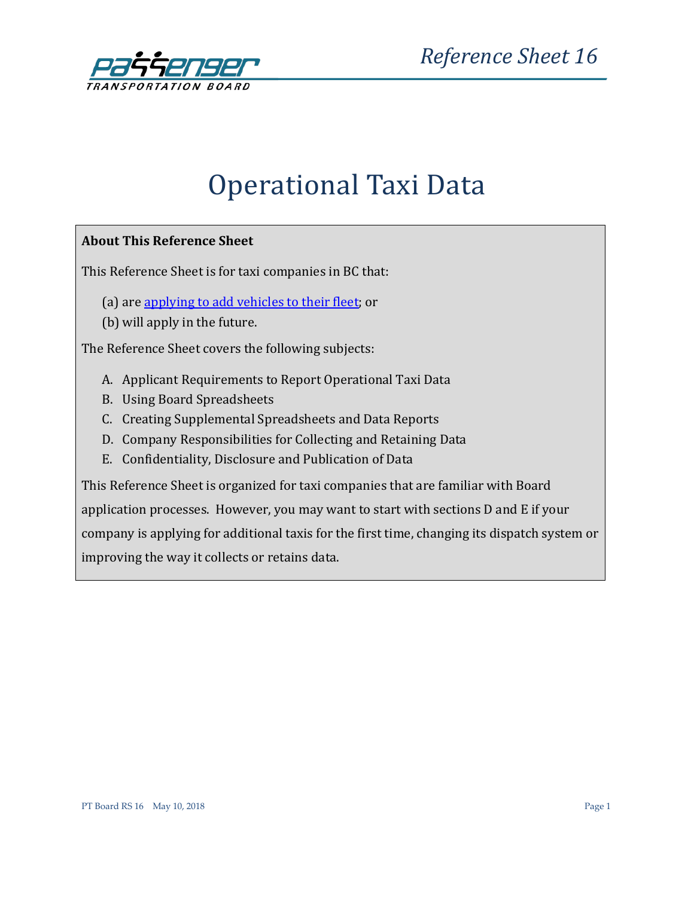

# Operational Taxi Data

### **About This Reference Sheet**

This Reference Sheet is for taxi companies in BC that:

- (a) are [applying to add vehicles to their fleet;](http://www.th.gov.bc.ca/ptb/applications_taxi.htm#tabs-3) or
- (b) will apply in the future.

The Reference Sheet covers the following subjects:

- A. Applicant Requirements to Report Operational Taxi Data
- B. Using Board Spreadsheets
- C. Creating Supplemental Spreadsheets and Data Reports
- D. Company Responsibilities for Collecting and Retaining Data
- E. Confidentiality, Disclosure and Publication of Data

This Reference Sheet is organized for taxi companies that are familiar with Board application processes. However, you may want to start with sections D and E if your company is applying for additional taxis for the first time, changing its dispatch system or improving the way it collects or retains data.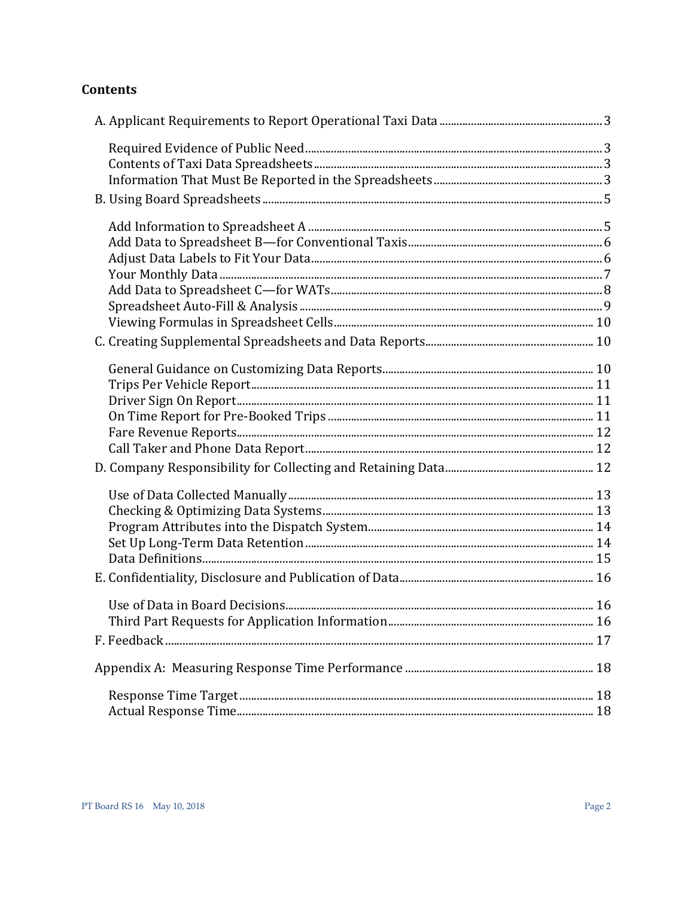# **Contents**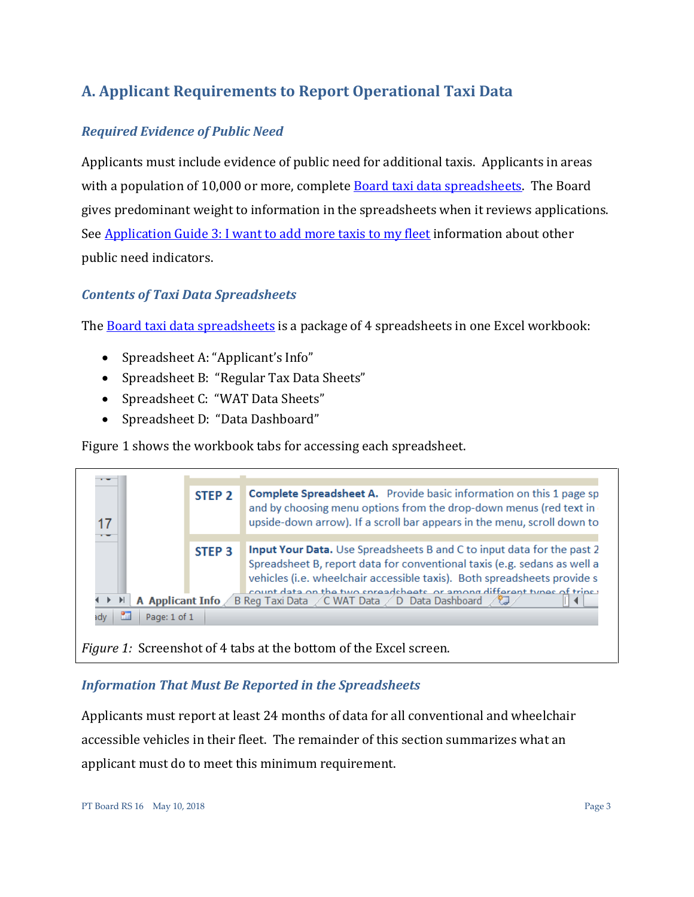# <span id="page-2-0"></span>**A. Applicant Requirements to Report Operational Taxi Data**

# <span id="page-2-1"></span>*Required Evidence of Public Need*

Applicants must include evidence of public need for additional taxis. Applicants in areas with a population of 10,000 or more, complete **Board taxi data spreadsheets**. The Board gives predominant weight to information in the spreadsheets when it reviews applications. See [Application Guide 3: I want to add more taxis to my fleet](http://www.th.gov.bc.ca/forms/getForm.aspx?formId=1177) information about other public need indicators.

# <span id="page-2-2"></span>*Contents of Taxi Data Spreadsheets*

The [Board taxi data spreadsheets](http://www.th.gov.bc.ca/forms/getForm.aspx?formId=1327) is a package of 4 spreadsheets in one Excel workbook:

- Spreadsheet A: "Applicant's Info"
- Spreadsheet B: "Regular Tax Data Sheets"
- Spreadsheet C: "WAT Data Sheets"
- Spreadsheet D: "Data Dashboard"

Figure 1 shows the workbook tabs for accessing each spreadsheet.



*Figure 1:* Screenshot of 4 tabs at the bottom of the Excel screen.

# <span id="page-2-3"></span>*Information That Must Be Reported in the Spreadsheets*

Applicants must report at least 24 months of data for all conventional and wheelchair accessible vehicles in their fleet. The remainder of this section summarizes what an applicant must do to meet this minimum requirement.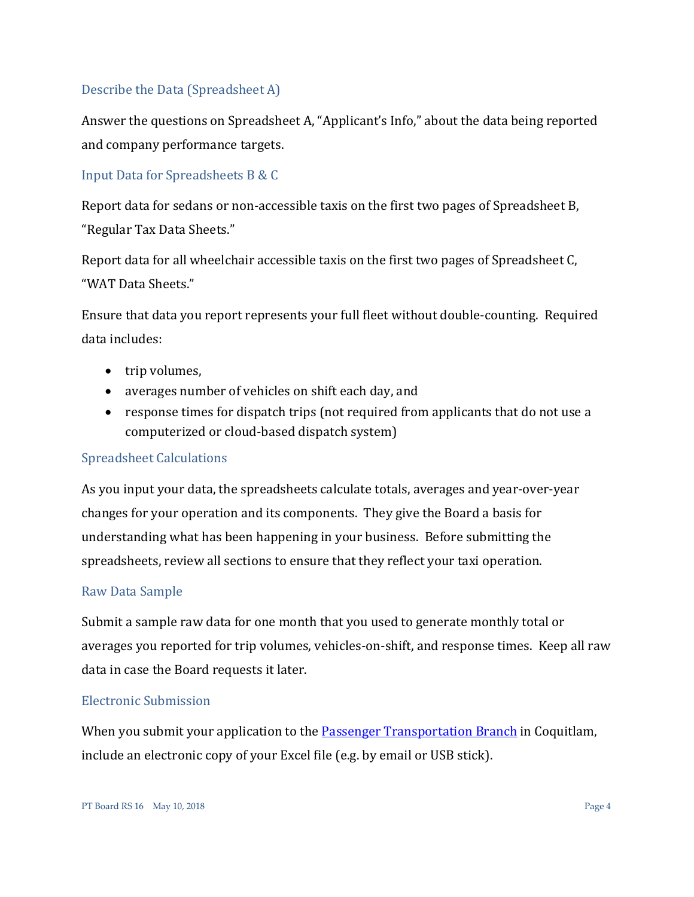### Describe the Data (Spreadsheet A)

Answer the questions on Spreadsheet A, "Applicant's Info," about the data being reported and company performance targets.

### Input Data for Spreadsheets B & C

Report data for sedans or non-accessible taxis on the first two pages of Spreadsheet B, "Regular Tax Data Sheets."

Report data for all wheelchair accessible taxis on the first two pages of Spreadsheet C, "WAT Data Sheets."

Ensure that data you report represents your full fleet without double-counting. Required data includes:

- trip volumes,
- averages number of vehicles on shift each day, and
- response times for dispatch trips (not required from applicants that do not use a computerized or cloud-based dispatch system)

### Spreadsheet Calculations

As you input your data, the spreadsheets calculate totals, averages and year-over-year changes for your operation and its components. They give the Board a basis for understanding what has been happening in your business. Before submitting the spreadsheets, review all sections to ensure that they reflect your taxi operation.

### Raw Data Sample

Submit a sample raw data for one month that you used to generate monthly total or averages you reported for trip volumes, vehicles-on-shift, and response times. Keep all raw data in case the Board requests it later.

#### Electronic Submission

When you submit your application to the **Passenger Transportation Branch** in Coquitlam, include an electronic copy of your Excel file (e.g. by email or USB stick).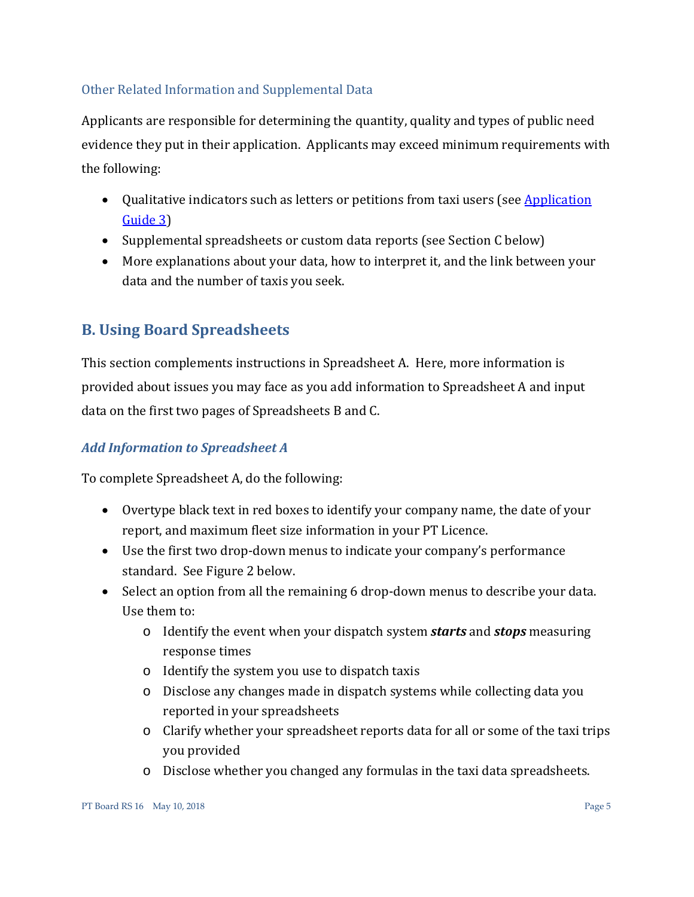### Other Related Information and Supplemental Data

Applicants are responsible for determining the quantity, quality and types of public need evidence they put in their application. Applicants may exceed minimum requirements with the following:

- Qualitative indicators such as letters or petitions from taxi users (see Application [Guide 3\)](http://www.th.gov.bc.ca/forms/getForm.aspx?formId=1177)
- Supplemental spreadsheets or custom data reports (see Section C below)
- More explanations about your data, how to interpret it, and the link between your data and the number of taxis you seek.

# <span id="page-4-0"></span>**B. Using Board Spreadsheets**

This section complements instructions in Spreadsheet A. Here, more information is provided about issues you may face as you add information to Spreadsheet A and input data on the first two pages of Spreadsheets B and C.

# <span id="page-4-1"></span>*Add Information to Spreadsheet A*

To complete Spreadsheet A, do the following:

- Overtype black text in red boxes to identify your company name, the date of your report, and maximum fleet size information in your PT Licence.
- Use the first two drop-down menus to indicate your company's performance standard. See Figure 2 below.
- Select an option from all the remaining 6 drop-down menus to describe your data. Use them to:
	- o Identify the event when your dispatch system *starts* and *stops* measuring response times
	- o Identify the system you use to dispatch taxis
	- o Disclose any changes made in dispatch systems while collecting data you reported in your spreadsheets
	- o Clarify whether your spreadsheet reports data for all or some of the taxi trips you provided
	- o Disclose whether you changed any formulas in the taxi data spreadsheets.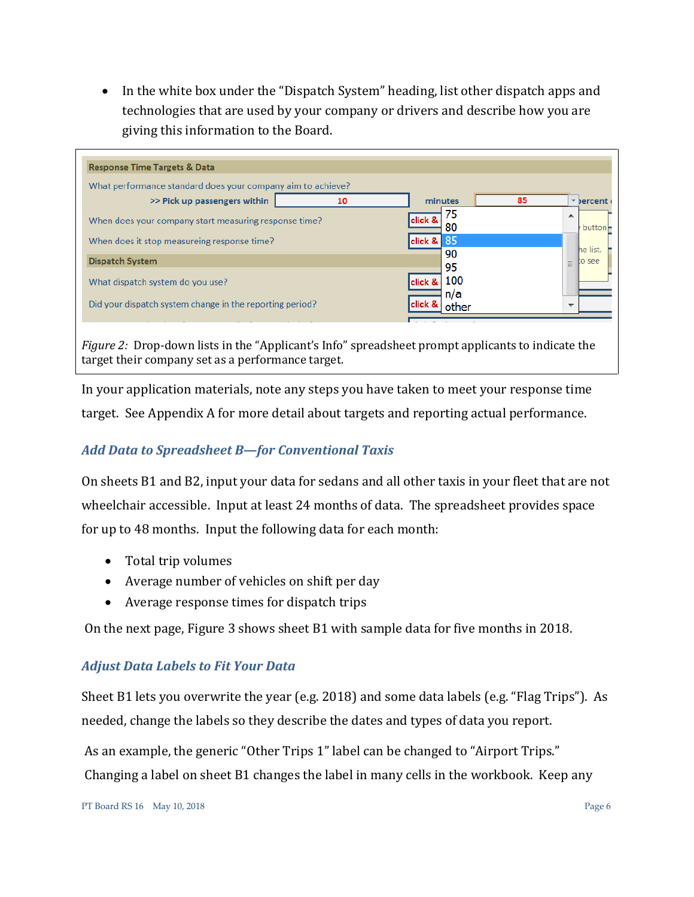• In the white box under the "Dispatch System" heading, list other dispatch apps and technologies that are used by your company or drivers and describe how you are giving this information to the Board.

| <b>Response Time Targets &amp; Data</b>                     |               |                     |          |                          |
|-------------------------------------------------------------|---------------|---------------------|----------|--------------------------|
| What performance standard does your company aim to achieve? |               |                     |          |                          |
| >> Pick up passengers within                                | 10            | minutes             | 85       | * bercent                |
| When does your company start measuring response time?       |               | 75<br>click &<br>80 |          | ▲<br>button-             |
| When does it stop measureing response time?                 | 85<br>click & |                     | he list. |                          |
| <b>Dispatch System</b>                                      |               | 90<br>95            |          | o see<br>Ξ               |
| What dispatch system do you use?                            |               | 100<br>click &      |          |                          |
| Did your dispatch system change in the reporting period?    |               | n/a<br>other        |          | $\overline{\phantom{a}}$ |

*Figure 2:* Drop-down lists in the "Applicant's Info" spreadsheet prompt applicants to indicate the target their company set as a performance target.

In your application materials, note any steps you have taken to meet your response time target. See Appendix A for more detail about targets and reporting actual performance.

# <span id="page-5-0"></span>*Add Data to Spreadsheet B—for Conventional Taxis*

On sheets B1 and B2, input your data for sedans and all other taxis in your fleet that are not wheelchair accessible. Input at least 24 months of data. The spreadsheet provides space for up to 48 months. Input the following data for each month:

- Total trip volumes
- Average number of vehicles on shift per day
- Average response times for dispatch trips

On the next page, Figure 3 shows sheet B1 with sample data for five months in 2018.

# <span id="page-5-1"></span>*Adjust Data Labels to Fit Your Data*

Sheet B1 lets you overwrite the year (e.g. 2018) and some data labels (e.g. "Flag Trips"). As needed, change the labels so they describe the dates and types of data you report.

As an example, the generic "Other Trips 1" label can be changed to "Airport Trips." Changing a label on sheet B1 changes the label in many cells in the workbook. Keep any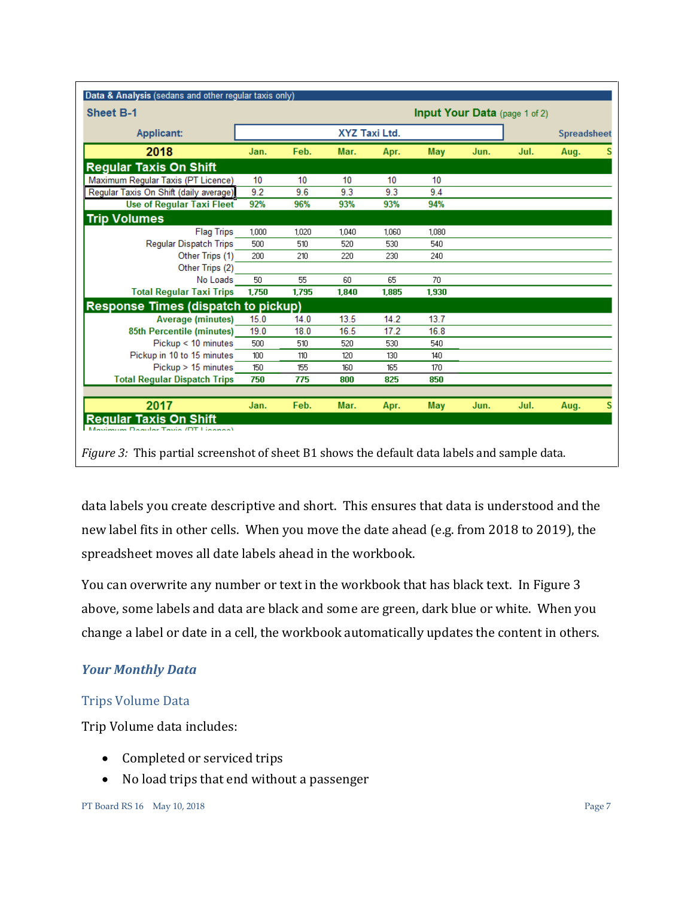| <b>Sheet B-1</b>                           |       |       |               |       |       |      | Input Your Data (page 1 of 2) |                    |   |
|--------------------------------------------|-------|-------|---------------|-------|-------|------|-------------------------------|--------------------|---|
| <b>Applicant:</b>                          |       |       | XYZ Taxi Ltd. |       |       |      |                               | <b>Spreadsheet</b> |   |
| 2018                                       | Jan.  | Feb.  | Mar.          | Apr.  | May   | Jun. | Jul.                          | Aug.               | s |
| <b>Regular Taxis On Shift</b>              |       |       |               |       |       |      |                               |                    |   |
| Maximum Regular Taxis (PT Licence)         | 10    | 10    | 10            | 10    | 10    |      |                               |                    |   |
| Regular Taxis On Shift (daily average)     | 9.2   | 9.6   | 9.3           | 9.3   | 9.4   |      |                               |                    |   |
| <b>Use of Regular Taxi Fleet</b>           | 92%   | 96%   | 93%           | 93%   | 94%   |      |                               |                    |   |
| <b>Trip Volumes</b>                        |       |       |               |       |       |      |                               |                    |   |
| <b>Flag Trips</b>                          | 1.000 | 1,020 | 1,040         | 1.060 | 1.080 |      |                               |                    |   |
| <b>Regular Dispatch Trips</b>              | 500   | 510   | 520           | 530   | 540   |      |                               |                    |   |
| Other Trips (1)                            | 200   | 210   | 220           | 230   | 240   |      |                               |                    |   |
| Other Trips (2)                            |       |       |               |       |       |      |                               |                    |   |
| No Loads                                   | 50    | 55    | 60            | 65    | 70    |      |                               |                    |   |
| <b>Total Reqular Taxi Trips</b>            | 1.750 | 1.795 | 1.840         | 1.885 | 1.930 |      |                               |                    |   |
| <b>Response Times (dispatch to pickup)</b> |       |       |               |       |       |      |                               |                    |   |
| <b>Average (minutes)</b>                   | 15.0  | 14.0  | 13.5          | 14.2  | 13.7  |      |                               |                    |   |
| 85th Percentile (minutes)                  | 19.0  | 18.0  | 16.5          | 17.2  | 16.8  |      |                               |                    |   |
| $Pickup < 10$ minutes                      | 500   | 510   | 520           | 530   | 540   |      |                               |                    |   |
| Pickup in 10 to 15 minutes                 | 100   | 110   | 120           | 130   | 140   |      |                               |                    |   |
| Pickup > 15 minutes                        | 150   | 155   | 160           | 165   | 170   |      |                               |                    |   |
| <b>Total Regular Dispatch Trips</b>        | 750   | 775   | 800           | 825   | 850   |      |                               |                    |   |
| 2017                                       | Jan.  | Feb.  | Mar.          | Apr.  | May   | Jun. | Jul.                          | Aug.               | S |

*Figure 3:* This partial screenshot of sheet B1 shows the default data labels and sample data.

data labels you create descriptive and short. This ensures that data is understood and the new label fits in other cells. When you move the date ahead (e.g. from 2018 to 2019), the spreadsheet moves all date labels ahead in the workbook.

You can overwrite any number or text in the workbook that has black text. In Figure 3 above, some labels and data are black and some are green, dark blue or white. When you change a label or date in a cell, the workbook automatically updates the content in others.

# <span id="page-6-0"></span>*Your Monthly Data*

# Trips Volume Data

Trip Volume data includes:

- Completed or serviced trips
- No load trips that end without a passenger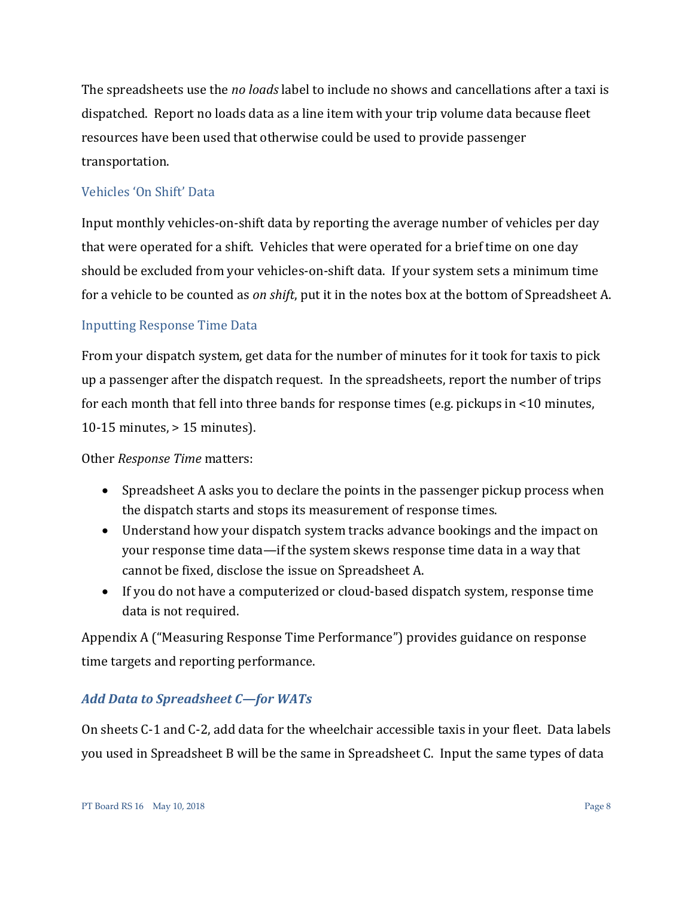The spreadsheets use the *no loads* label to include no shows and cancellations after a taxi is dispatched. Report no loads data as a line item with your trip volume data because fleet resources have been used that otherwise could be used to provide passenger transportation.

### Vehicles 'On Shift' Data

Input monthly vehicles-on-shift data by reporting the average number of vehicles per day that were operated for a shift. Vehicles that were operated for a brief time on one day should be excluded from your vehicles-on-shift data. If your system sets a minimum time for a vehicle to be counted as *on shift*, put it in the notes box at the bottom of Spreadsheet A.

### Inputting Response Time Data

From your dispatch system, get data for the number of minutes for it took for taxis to pick up a passenger after the dispatch request. In the spreadsheets, report the number of trips for each month that fell into three bands for response times (e.g. pickups in <10 minutes, 10-15 minutes, > 15 minutes).

Other *Response Time* matters:

- Spreadsheet A asks you to declare the points in the passenger pickup process when the dispatch starts and stops its measurement of response times.
- Understand how your dispatch system tracks advance bookings and the impact on your response time data—if the system skews response time data in a way that cannot be fixed, disclose the issue on Spreadsheet A.
- If you do not have a computerized or cloud-based dispatch system, response time data is not required.

Appendix A ("Measuring Response Time Performance") provides guidance on response time targets and reporting performance.

### <span id="page-7-0"></span>*Add Data to Spreadsheet C—for WATs*

On sheets C-1 and C-2, add data for the wheelchair accessible taxis in your fleet. Data labels you used in Spreadsheet B will be the same in Spreadsheet C. Input the same types of data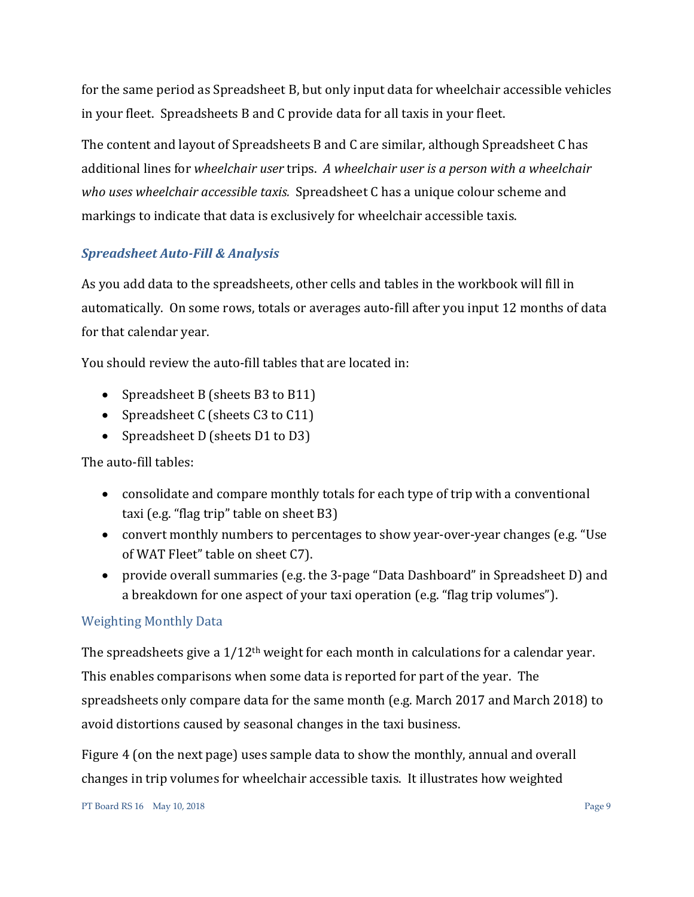for the same period as Spreadsheet B, but only input data for wheelchair accessible vehicles in your fleet. Spreadsheets B and C provide data for all taxis in your fleet.

The content and layout of Spreadsheets B and C are similar, although Spreadsheet C has additional lines for *wheelchair user* trips. *A wheelchair user is a person with a wheelchair who uses wheelchair accessible taxis.* Spreadsheet C has a unique colour scheme and markings to indicate that data is exclusively for wheelchair accessible taxis.

# <span id="page-8-0"></span>*Spreadsheet Auto-Fill & Analysis*

As you add data to the spreadsheets, other cells and tables in the workbook will fill in automatically. On some rows, totals or averages auto-fill after you input 12 months of data for that calendar year.

You should review the auto-fill tables that are located in:

- Spreadsheet B (sheets B3 to B11)
- Spreadsheet C (sheets C3 to C11)
- Spreadsheet D (sheets D1 to D3)

The auto-fill tables:

- consolidate and compare monthly totals for each type of trip with a conventional taxi (e.g. "flag trip" table on sheet B3)
- convert monthly numbers to percentages to show year-over-year changes (e.g. "Use of WAT Fleet" table on sheet C7).
- provide overall summaries (e.g. the 3-page "Data Dashboard" in Spreadsheet D) and a breakdown for one aspect of your taxi operation (e.g. "flag trip volumes").

# Weighting Monthly Data

The spreadsheets give a  $1/12$ <sup>th</sup> weight for each month in calculations for a calendar year. This enables comparisons when some data is reported for part of the year. The spreadsheets only compare data for the same month (e.g. March 2017 and March 2018) to avoid distortions caused by seasonal changes in the taxi business.

Figure 4 (on the next page) uses sample data to show the monthly, annual and overall changes in trip volumes for wheelchair accessible taxis. It illustrates how weighted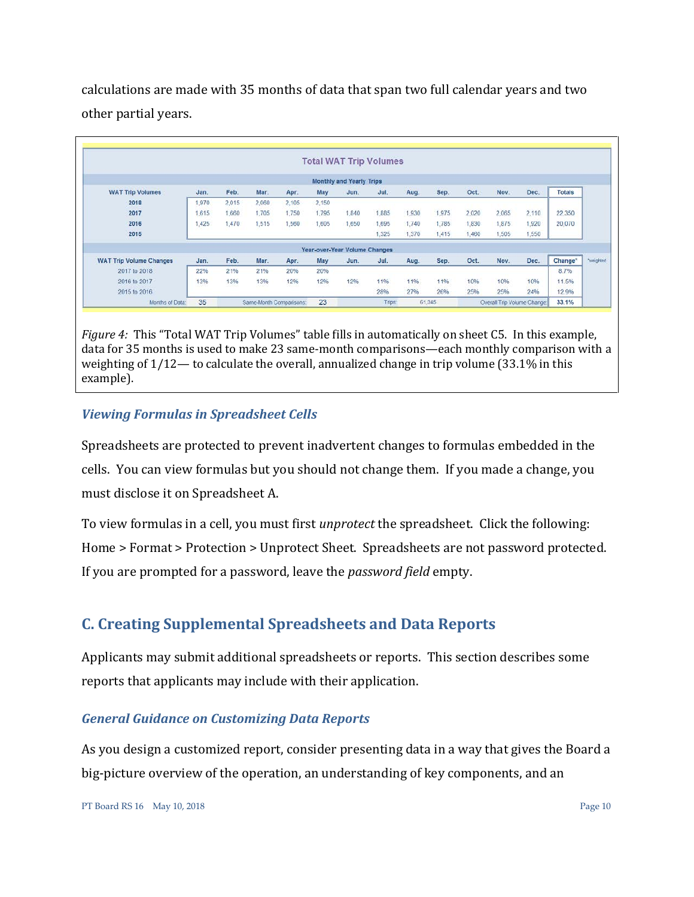calculations are made with 35 months of data that span two full calendar years and two other partial years.

|                                |       |       |                         |       |       | <b>Total WAT Trip Volumes</b>   |        |       |        |       |                             |       |                     |                 |
|--------------------------------|-------|-------|-------------------------|-------|-------|---------------------------------|--------|-------|--------|-------|-----------------------------|-------|---------------------|-----------------|
|                                |       |       |                         |       |       | <b>Monthly and Yearly Trips</b> |        |       |        |       |                             |       |                     |                 |
| <b>WAT Trip Volumes</b>        | Jan.  | Feb.  | Mar.                    | Apr.  | May   | Jun.                            | Jul.   | Aug.  | Sep.   | Oct.  | Nov.                        | Dec.  | <b>Totals</b>       |                 |
| 2018                           | 1.970 | 2.015 | 2.060                   | 2.105 | 2.150 |                                 |        |       |        |       |                             |       |                     |                 |
| 2017                           | 615   | 1.660 | 1,705                   | 1,750 | 1,795 | 1,840                           | 1,885  | 1,930 | 1,975  | 2,020 | 2,065                       | 2,110 | 22,350              |                 |
| 2016                           | 1.425 | 1,470 | 1,515                   | 1,560 | 1,605 | 1,650                           | 1,695  | 1.740 | 1.785  | 1.830 | 1.875                       | 1,920 | 20,070              |                 |
| 2015                           |       |       |                         |       |       |                                 | 1.325  | 1,370 | 1.415  | 1,460 | 1,505                       | 1,550 |                     |                 |
|                                |       |       |                         |       |       | Year-over-Year Volume Changes   |        |       |        |       |                             |       |                     |                 |
| <b>WAT Trip Volume Changes</b> | Jan.  | Feb.  | Mar.                    | Apr.  | May   | Jun.                            | Jul.   | Aug.  | Sep.   | Oct.  | Nov.                        | Dec.  | Change <sup>*</sup> | <b>Neighted</b> |
| 2017 to 2018                   | 22%   | 21%   | 21%                     | 20%   | 20%   |                                 |        |       |        |       |                             |       | 8.7%                |                 |
| 2016 to 2017                   | 13%   | 13%   | 13%                     | 12%   | 12%   | 12%                             | 11%    | 11%   | 11%    | 10%   | 10%                         | 10%   | 11.5%               |                 |
| 2015 to 2016                   |       |       |                         |       |       |                                 | 28%    | 27%   | 26%    | 25%   | 25%                         | 24%   | 12.9%               |                 |
| Months of Data:                | 35    |       | Same-Month Comparisons: |       | 23    |                                 | Trips: |       | 61.345 |       | Overall Trip Volume Change: |       | 33.1%               |                 |

*Figure 4:* This "Total WAT Trip Volumes" table fills in automatically on sheet C5. In this example, data for 35 months is used to make 23 same-month comparisons—each monthly comparison with a weighting of 1/12— to calculate the overall, annualized change in trip volume (33.1% in this example).

# <span id="page-9-0"></span>*Viewing Formulas in Spreadsheet Cells*

Spreadsheets are protected to prevent inadvertent changes to formulas embedded in the cells. You can view formulas but you should not change them. If you made a change, you must disclose it on Spreadsheet A.

To view formulas in a cell, you must first *unprotect* the spreadsheet. Click the following: Home > Format > Protection > Unprotect Sheet. Spreadsheets are not password protected. If you are prompted for a password, leave the *password field* empty.

# <span id="page-9-1"></span>**C. Creating Supplemental Spreadsheets and Data Reports**

Applicants may submit additional spreadsheets or reports. This section describes some reports that applicants may include with their application.

### <span id="page-9-2"></span>*General Guidance on Customizing Data Reports*

As you design a customized report, consider presenting data in a way that gives the Board a big-picture overview of the operation, an understanding of key components, and an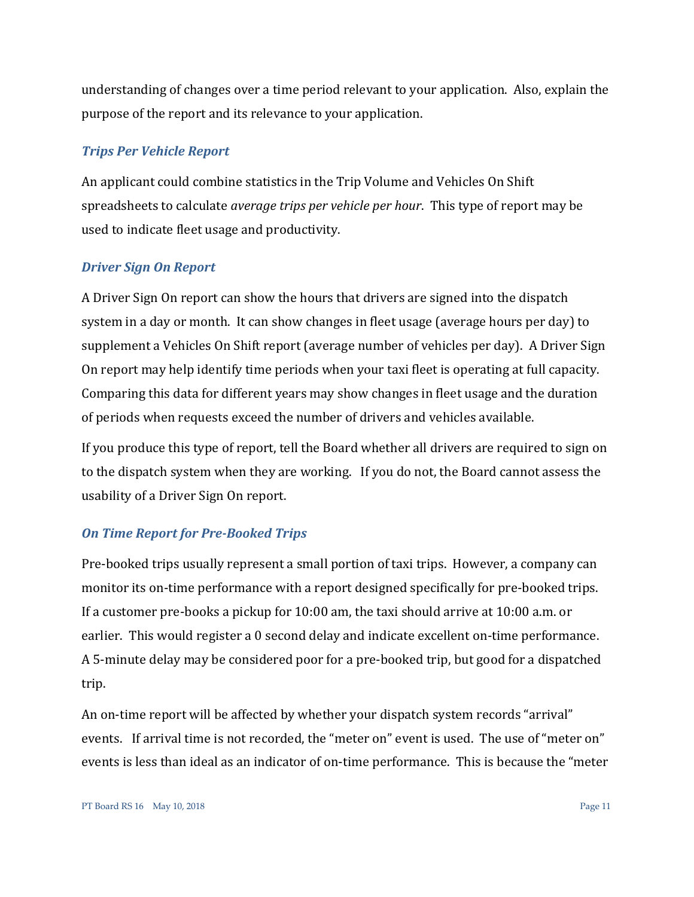understanding of changes over a time period relevant to your application. Also, explain the purpose of the report and its relevance to your application.

#### <span id="page-10-0"></span>*Trips Per Vehicle Report*

An applicant could combine statistics in the Trip Volume and Vehicles On Shift spreadsheets to calculate *average trips per vehicle per hour*. This type of report may be used to indicate fleet usage and productivity.

#### <span id="page-10-1"></span>*Driver Sign On Report*

A Driver Sign On report can show the hours that drivers are signed into the dispatch system in a day or month. It can show changes in fleet usage (average hours per day) to supplement a Vehicles On Shift report (average number of vehicles per day). A Driver Sign On report may help identify time periods when your taxi fleet is operating at full capacity. Comparing this data for different years may show changes in fleet usage and the duration of periods when requests exceed the number of drivers and vehicles available.

If you produce this type of report, tell the Board whether all drivers are required to sign on to the dispatch system when they are working. If you do not, the Board cannot assess the usability of a Driver Sign On report.

### <span id="page-10-2"></span>*On Time Report for Pre-Booked Trips*

Pre-booked trips usually represent a small portion of taxi trips. However, a company can monitor its on-time performance with a report designed specifically for pre-booked trips. If a customer pre-books a pickup for 10:00 am, the taxi should arrive at 10:00 a.m. or earlier. This would register a 0 second delay and indicate excellent on-time performance. A 5-minute delay may be considered poor for a pre-booked trip, but good for a dispatched trip.

An on-time report will be affected by whether your dispatch system records "arrival" events. If arrival time is not recorded, the "meter on" event is used. The use of "meter on" events is less than ideal as an indicator of on-time performance. This is because the "meter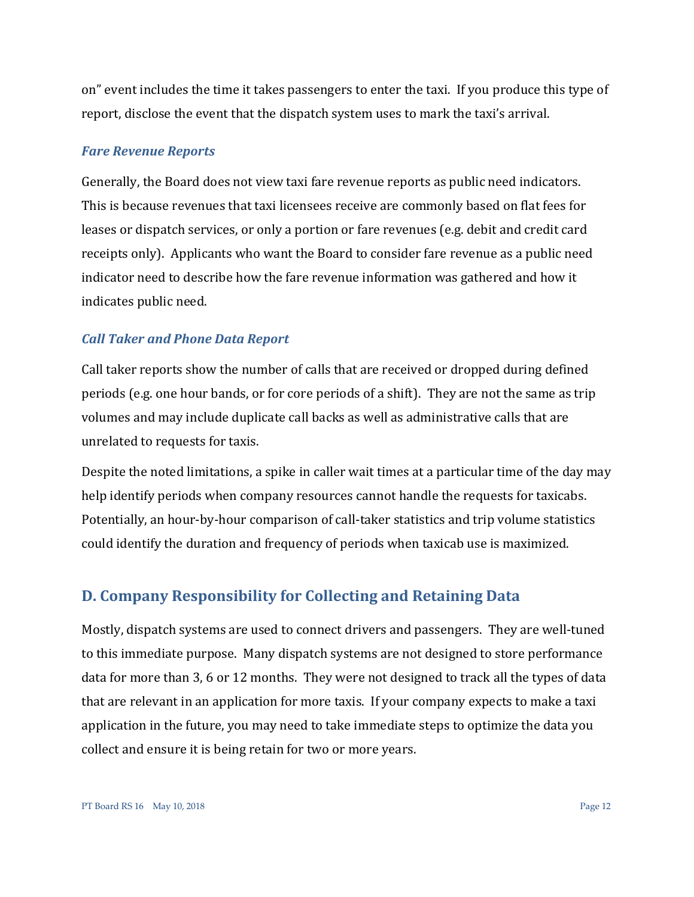on" event includes the time it takes passengers to enter the taxi. If you produce this type of report, disclose the event that the dispatch system uses to mark the taxi's arrival.

#### <span id="page-11-0"></span>*Fare Revenue Reports*

Generally, the Board does not view taxi fare revenue reports as public need indicators. This is because revenues that taxi licensees receive are commonly based on flat fees for leases or dispatch services, or only a portion or fare revenues (e.g. debit and credit card receipts only). Applicants who want the Board to consider fare revenue as a public need indicator need to describe how the fare revenue information was gathered and how it indicates public need.

#### <span id="page-11-1"></span>*Call Taker and Phone Data Report*

Call taker reports show the number of calls that are received or dropped during defined periods (e.g. one hour bands, or for core periods of a shift). They are not the same as trip volumes and may include duplicate call backs as well as administrative calls that are unrelated to requests for taxis.

Despite the noted limitations, a spike in caller wait times at a particular time of the day may help identify periods when company resources cannot handle the requests for taxicabs. Potentially, an hour-by-hour comparison of call-taker statistics and trip volume statistics could identify the duration and frequency of periods when taxicab use is maximized.

### <span id="page-11-2"></span>**D. Company Responsibility for Collecting and Retaining Data**

Mostly, dispatch systems are used to connect drivers and passengers. They are well-tuned to this immediate purpose. Many dispatch systems are not designed to store performance data for more than 3, 6 or 12 months. They were not designed to track all the types of data that are relevant in an application for more taxis. If your company expects to make a taxi application in the future, you may need to take immediate steps to optimize the data you collect and ensure it is being retain for two or more years.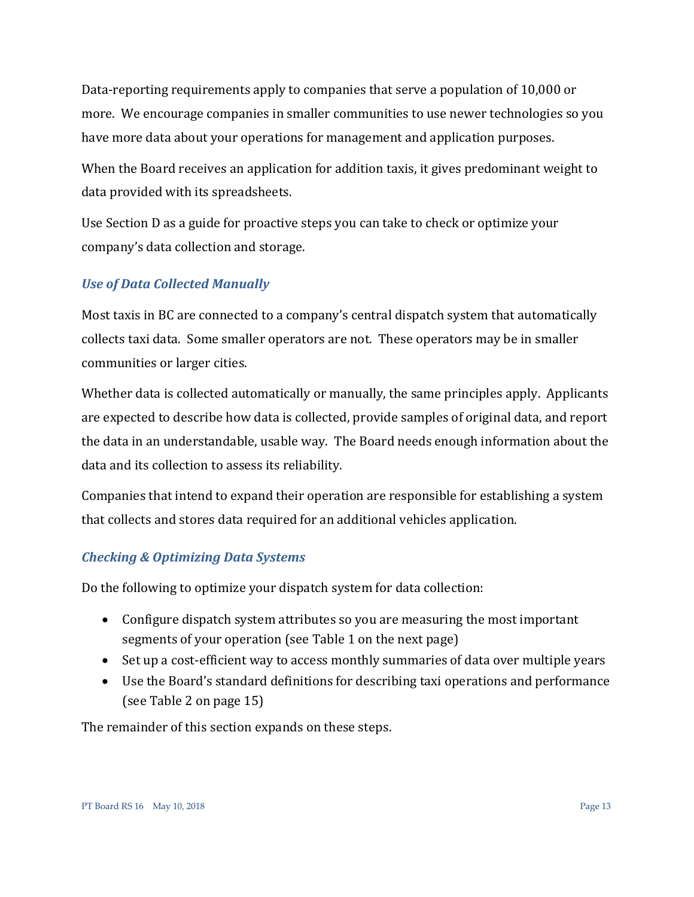Data-reporting requirements apply to companies that serve a population of 10,000 or more. We encourage companies in smaller communities to use newer technologies so you have more data about your operations for management and application purposes.

When the Board receives an application for addition taxis, it gives predominant weight to data provided with its spreadsheets.

Use Section D as a guide for proactive steps you can take to check or optimize your company's data collection and storage.

# <span id="page-12-0"></span>*Use of Data Collected Manually*

Most taxis in BC are connected to a company's central dispatch system that automatically collects taxi data. Some smaller operators are not. These operators may be in smaller communities or larger cities.

Whether data is collected automatically or manually, the same principles apply. Applicants are expected to describe how data is collected, provide samples of original data, and report the data in an understandable, usable way. The Board needs enough information about the data and its collection to assess its reliability.

Companies that intend to expand their operation are responsible for establishing a system that collects and stores data required for an additional vehicles application.

### <span id="page-12-1"></span>*Checking & Optimizing Data Systems*

Do the following to optimize your dispatch system for data collection:

- Configure dispatch system attributes so you are measuring the most important segments of your operation (see Table 1 on the next page)
- Set up a cost-efficient way to access monthly summaries of data over multiple years
- Use the Board's standard definitions for describing taxi operations and performance (see Table 2 on page 15)

The remainder of this section expands on these steps.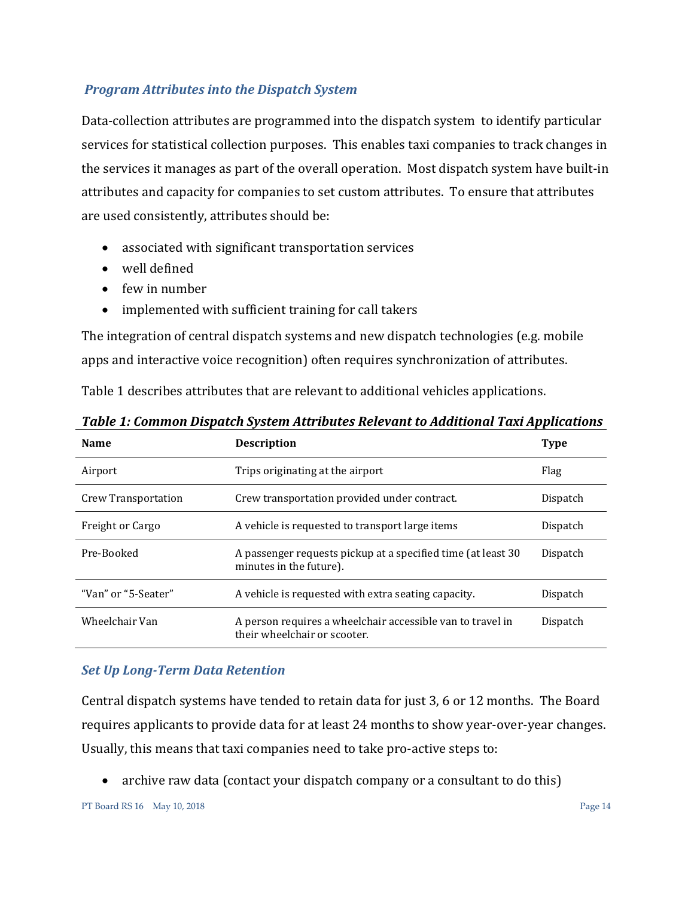### <span id="page-13-0"></span>*Program Attributes into the Dispatch System*

Data-collection attributes are programmed into the dispatch system to identify particular services for statistical collection purposes. This enables taxi companies to track changes in the services it manages as part of the overall operation. Most dispatch system have built-in attributes and capacity for companies to set custom attributes. To ensure that attributes are used consistently, attributes should be:

- associated with significant transportation services
- well defined
- few in number
- implemented with sufficient training for call takers

The integration of central dispatch systems and new dispatch technologies (e.g. mobile apps and interactive voice recognition) often requires synchronization of attributes.

Table 1 describes attributes that are relevant to additional vehicles applications.

| <b>Name</b>         | <b>Description</b>                                                                         | Type     |
|---------------------|--------------------------------------------------------------------------------------------|----------|
| Airport             | Trips originating at the airport                                                           | Flag     |
| Crew Transportation | Crew transportation provided under contract.                                               | Dispatch |
| Freight or Cargo    | A vehicle is requested to transport large items                                            | Dispatch |
| Pre-Booked          | A passenger requests pickup at a specified time (at least 30)<br>minutes in the future).   | Dispatch |
| "Van" or "5-Seater" | A vehicle is requested with extra seating capacity.                                        | Dispatch |
| Wheelchair Van      | A person requires a wheelchair accessible van to travel in<br>their wheelchair or scooter. | Dispatch |

*Table 1: Common Dispatch System Attributes Relevant to Additional Taxi Applications*

### <span id="page-13-1"></span>*Set Up Long-Term Data Retention*

Central dispatch systems have tended to retain data for just 3, 6 or 12 months. The Board requires applicants to provide data for at least 24 months to show year-over-year changes. Usually, this means that taxi companies need to take pro-active steps to:

• archive raw data (contact your dispatch company or a consultant to do this)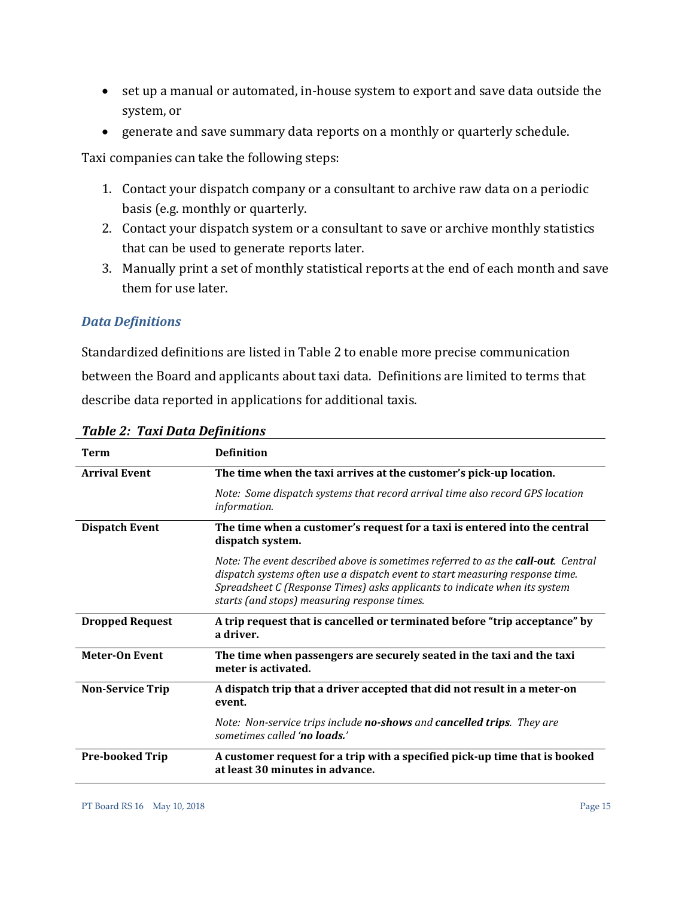- set up a manual or automated, in-house system to export and save data outside the system, or
- generate and save summary data reports on a monthly or quarterly schedule.

Taxi companies can take the following steps:

- 1. Contact your dispatch company or a consultant to archive raw data on a periodic basis (e.g. monthly or quarterly.
- 2. Contact your dispatch system or a consultant to save or archive monthly statistics that can be used to generate reports later.
- 3. Manually print a set of monthly statistical reports at the end of each month and save them for use later.

### <span id="page-14-0"></span>*Data Definitions*

Standardized definitions are listed in Table 2 to enable more precise communication between the Board and applicants about taxi data. Definitions are limited to terms that describe data reported in applications for additional taxis.

| Term                    | <b>Definition</b>                                                                                                                                                                                                                                                                                        |
|-------------------------|----------------------------------------------------------------------------------------------------------------------------------------------------------------------------------------------------------------------------------------------------------------------------------------------------------|
| <b>Arrival Event</b>    | The time when the taxi arrives at the customer's pick-up location.                                                                                                                                                                                                                                       |
|                         | Note: Some dispatch systems that record arrival time also record GPS location<br>information.                                                                                                                                                                                                            |
| <b>Dispatch Event</b>   | The time when a customer's request for a taxi is entered into the central<br>dispatch system.                                                                                                                                                                                                            |
|                         | Note: The event described above is sometimes referred to as the <b>call-out</b> . Central<br>dispatch systems often use a dispatch event to start measuring response time.<br>Spreadsheet C (Response Times) asks applicants to indicate when its system<br>starts (and stops) measuring response times. |
| <b>Dropped Request</b>  | A trip request that is cancelled or terminated before "trip acceptance" by<br>a driver.                                                                                                                                                                                                                  |
| <b>Meter-On Event</b>   | The time when passengers are securely seated in the taxi and the taxi<br>meter is activated.                                                                                                                                                                                                             |
| <b>Non-Service Trip</b> | A dispatch trip that a driver accepted that did not result in a meter-on<br>event.                                                                                                                                                                                                                       |
|                         | Note: Non-service trips include no-shows and cancelled trips. They are<br>sometimes called 'no loads.'                                                                                                                                                                                                   |
| <b>Pre-booked Trip</b>  | A customer request for a trip with a specified pick-up time that is booked<br>at least 30 minutes in advance.                                                                                                                                                                                            |

*Table 2: Taxi Data Definitions*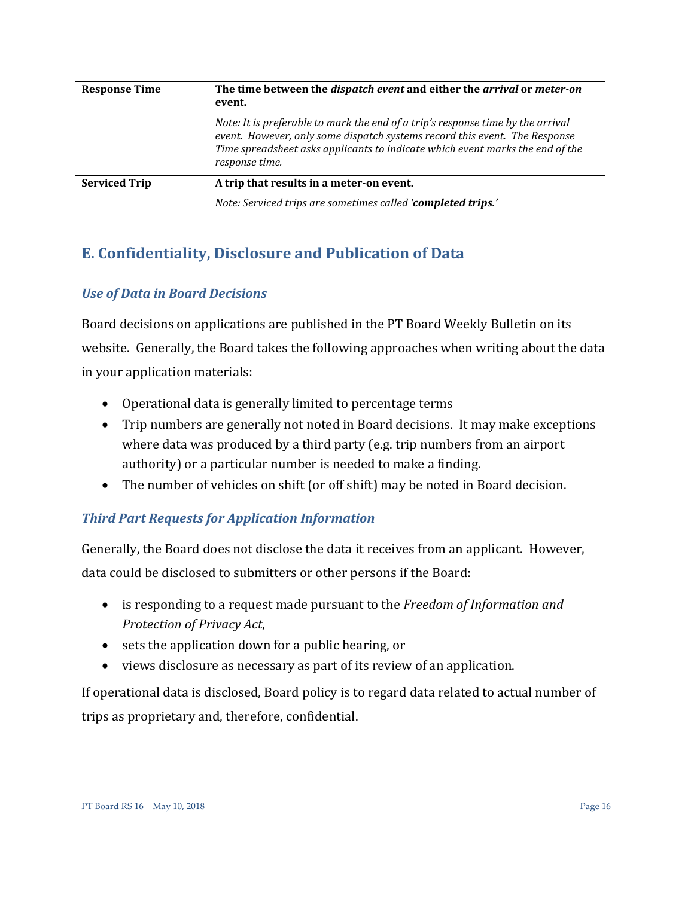| <b>Response Time</b> | The time between the <i>dispatch event</i> and either the <i>arrival</i> or <i>meter-on</i><br>event.                                                                                                                                                            |
|----------------------|------------------------------------------------------------------------------------------------------------------------------------------------------------------------------------------------------------------------------------------------------------------|
|                      | Note: It is preferable to mark the end of a trip's response time by the arrival<br>event. However, only some dispatch systems record this event. The Response<br>Time spreadsheet asks applicants to indicate which event marks the end of the<br>response time. |
| <b>Serviced Trip</b> | A trip that results in a meter-on event.                                                                                                                                                                                                                         |
|                      | Note: Serviced trips are sometimes called 'completed trips.'                                                                                                                                                                                                     |

# <span id="page-15-0"></span>**E. Confidentiality, Disclosure and Publication of Data**

### <span id="page-15-1"></span>*Use of Data in Board Decisions*

Board decisions on applications are published in the PT Board Weekly Bulletin on its website. Generally, the Board takes the following approaches when writing about the data in your application materials:

- Operational data is generally limited to percentage terms
- Trip numbers are generally not noted in Board decisions. It may make exceptions where data was produced by a third party (e.g. trip numbers from an airport authority) or a particular number is needed to make a finding.
- The number of vehicles on shift (or off shift) may be noted in Board decision.

# <span id="page-15-2"></span>*Third Part Requests for Application Information*

Generally, the Board does not disclose the data it receives from an applicant. However, data could be disclosed to submitters or other persons if the Board:

- is responding to a request made pursuant to the *Freedom of Information and Protection of Privacy Act*,
- sets the application down for a public hearing, or
- views disclosure as necessary as part of its review of an application.

If operational data is disclosed, Board policy is to regard data related to actual number of trips as proprietary and, therefore, confidential.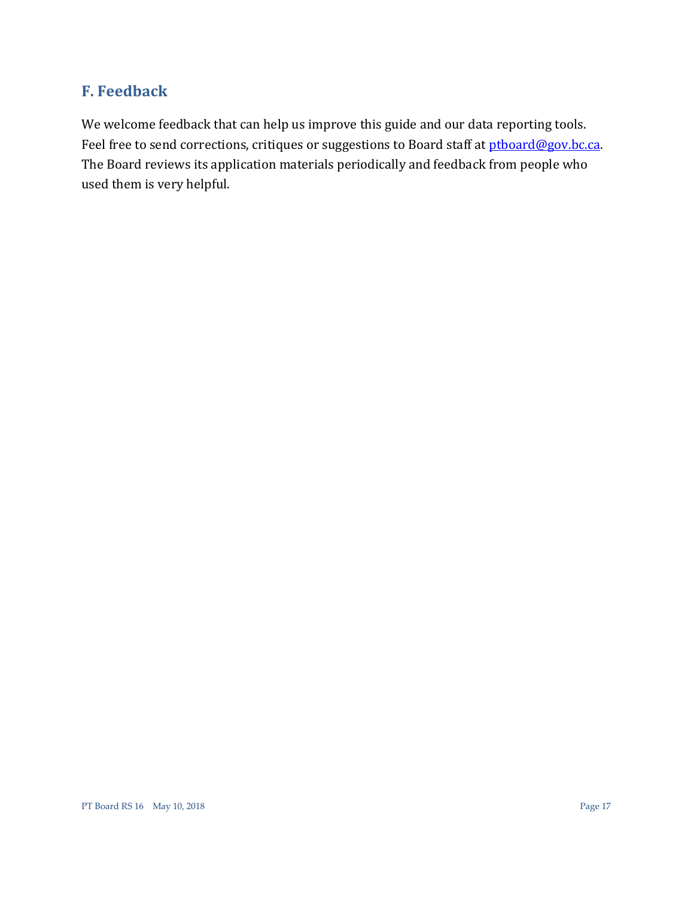# <span id="page-16-0"></span>**F. Feedback**

We welcome feedback that can help us improve this guide and our data reporting tools. Feel free to send corrections, critiques or suggestions to Board staff at [ptboard@gov.bc.ca.](mailto:ptboard@gov.bc.ca?subject=FEEDBACK:%20REFERENCE%20SHEET%2016%20Operational%20Taxi%20Data) The Board reviews its application materials periodically and feedback from people who used them is very helpful.